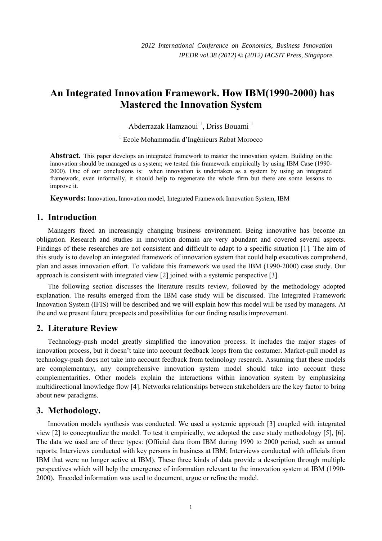# **An Integrated Innovation Framework. How IBM(1990-2000) has Mastered the Innovation System**

Abderrazak Hamzaoui<sup>1</sup>, Driss Bouami<sup>1</sup>

1 Ecole Mohammadia d'Ingénieurs Rabat Morocco

**Abstract.** This paper develops an integrated framework to master the innovation system. Building on the innovation should be managed as a system; we tested this framework empirically by using IBM Case (1990- 2000). One of our conclusions is: when innovation is undertaken as a system by using an integrated framework, even informally, it should help to regenerate the whole firm but there are some lessons to improve it.

**Keywords:** Innovation, Innovation model, Integrated Framework Innovation System, IBM

## **1. Introduction**

Managers faced an increasingly changing business environment. Being innovative has become an obligation. Research and studies in innovation domain are very abundant and covered several aspects. Findings of these researches are not consistent and difficult to adapt to a specific situation [1]. The aim of this study is to develop an integrated framework of innovation system that could help executives comprehend, plan and asses innovation effort. To validate this framework we used the IBM (1990-2000) case study. Our approach is consistent with integrated view [2] joined with a systemic perspective [3].

The following section discusses the literature results review, followed by the methodology adopted explanation. The results emerged from the IBM case study will be discussed. The Integrated Framework Innovation System (IFIS) will be described and we will explain how this model will be used by managers. At the end we present future prospects and possibilities for our finding results improvement.

## **2. Literature Review**

Technology-push model greatly simplified the innovation process. It includes the major stages of innovation process, but it doesn't take into account feedback loops from the costumer. Market-pull model as technology-push does not take into account feedback from technology research. Assuming that these models are complementary, any comprehensive innovation system model should take into account these complementarities. Other models explain the interactions within innovation system by emphasizing multidirectional knowledge flow [4]. Networks relationships between stakeholders are the key factor to bring about new paradigms.

## **3. Methodology.**

Innovation models synthesis was conducted. We used a systemic approach [3] coupled with integrated view [2] to conceptualize the model. To test it empirically, we adopted the case study methodology [5], [6]. The data we used are of three types: (Official data from IBM during 1990 to 2000 period, such as annual reports; Interviews conducted with key persons in business at IBM; Interviews conducted with officials from IBM that were no longer active at IBM). These three kinds of data provide a description through multiple perspectives which will help the emergence of information relevant to the innovation system at IBM (1990- 2000). Encoded information was used to document, argue or refine the model.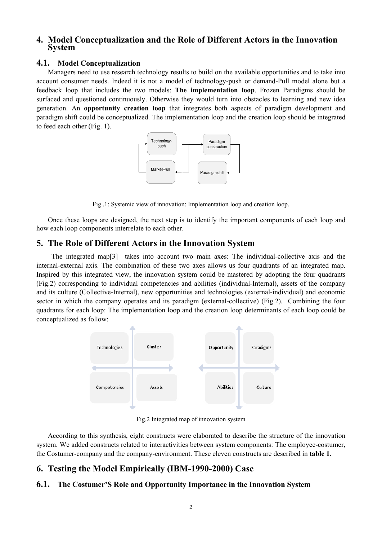## **4. Model Conceptualization and the Role of Different Actors in the Innovation System**

#### **4.1. Model Conceptualization**

Managers need to use research technology results to build on the available opportunities and to take into account consumer needs. Indeed it is not a model of technology-push or demand-Pull model alone but a feedback loop that includes the two models: **The implementation loop**. Frozen Paradigms should be surfaced and questioned continuously. Otherwise they would turn into obstacles to learning and new idea generation. An **opportunity creation loop** that integrates both aspects of paradigm development and paradigm shift could be conceptualized. The implementation loop and the creation loop should be integrated to feed each other (Fig. 1).



Fig .1: Systemic view of innovation: Implementation loop and creation loop.

Once these loops are designed, the next step is to identify the important components of each loop and how each loop components interrelate to each other.

## **5. The Role of Different Actors in the Innovation System**

The integrated map[3] takes into account two main axes: The individual-collective axis and the internal-external axis. The combination of these two axes allows us four quadrants of an integrated map. Inspired by this integrated view, the innovation system could be mastered by adopting the four quadrants (Fig.2) corresponding to individual competencies and abilities (individual-Internal), assets of the company and its culture (Collective-Internal), new opportunities and technologies (external-individual) and economic sector in which the company operates and its paradigm (external-collective) (Fig.2). Combining the four quadrants for each loop: The implementation loop and the creation loop determinants of each loop could be conceptualized as follow:



Fig.2 Integrated map of innovation system

According to this synthesis, eight constructs were elaborated to describe the structure of the innovation system. We added constructs related to interactivities between system components: The employee-costumer, the Costumer-company and the company-environment. These eleven constructs are described in **table 1.**

## **6. Testing the Model Empirically (IBM-1990-2000) Case**

## **6.1. The Costumer'S Role and Opportunity Importance in the Innovation System**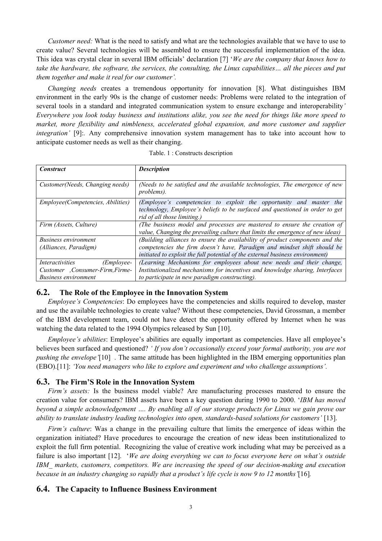*Customer need:* What is the need to satisfy and what are the technologies available that we have to use to create value? Several technologies will be assembled to ensure the successful implementation of the idea. This idea was crystal clear in several IBM officials' declaration [7] '*We are the company that knows how to take the hardware, the software, the services, the consulting, the Linux capabilities... all the pieces and put them together and make it real for our customer'.* 

*Changing needs* creates a tremendous opportunity for innovation [8]. What distinguishes IBM environment in the early 90s is the change of customer needs: Problems were related to the integration of several tools in a standard and integrated communication system to ensure exchange and interoperability*' Everywhere you look today business and institutions alike, you see the need for things like more speed to market, more flexibility and nimbleness, accelerated global expansion, and more customer and supplier integration'* [9]: Any comprehensive innovation system management has to take into account how to anticipate customer needs as well as their changing.

|  | Table. 1 : Constructs description |  |
|--|-----------------------------------|--|
|  |                                   |  |

| <b>Construct</b>                             | <b>Description</b>                                                                                                                                                                |  |
|----------------------------------------------|-----------------------------------------------------------------------------------------------------------------------------------------------------------------------------------|--|
|                                              |                                                                                                                                                                                   |  |
| Customer (Needs, Changing needs)             | (Needs to be satisfied and the available technologies, The emergence of new<br>problems).                                                                                         |  |
| Employee(Competencies, Abilities)            | (Employee's competencies to exploit the opportunity and master the<br>technology, Employee's beliefs to be surfaced and questioned in order to get<br>rid of all those limiting.) |  |
| Firm (Assets, Culture)                       | (The business model and processes are mastered to ensure the creation of<br>value, Changing the prevailing culture that limits the emergence of new ideas)                        |  |
| <b>Business environment</b>                  | (Building alliances to ensure the availability of product components and the                                                                                                      |  |
| (Alliances, Paradigm)                        | competencies the firm doesn't have, Paradigm and mindset shift should be                                                                                                          |  |
|                                              | initiated to exploit the full potential of the external business environment)                                                                                                     |  |
| ( <i>Employee-</i><br><i>Interactivities</i> | (Learning Mechanisms for employees about new needs and their change,                                                                                                              |  |
| Customer , Consumer-Firm, Firme-             | Institutionalized mechanisms for incentives and knowledge sharing, Interfaces                                                                                                     |  |
| <i>Business environment</i>                  | to participate in new paradigm constructing).                                                                                                                                     |  |

### **6.2. The Role of the Employee in the Innovation System**

*Employee's Competencies*: Do employees have the competencies and skills required to develop, master and use the available technologies to create value? Without these competencies, David Grossman, a member of the IBM development team, could not have detect the opportunity offered by Internet when he was watching the data related to the 1994 Olympics released by Sun [10].

*Employee's abilities*: Employee's abilities are equally important as competencies. Have all employee's believes been surfaced and questioned? *' If you don't occasionally exceed your formal authority, you are not pushing the envelope'*[10] *.* The same attitude has been highlighted in the IBM emerging opportunities plan (EBO).[11]: *'You need managers who like to explore and experiment and who challenge assumptions'.* 

#### **6.3. The Firm'S Role in the Innovation System**

*Firm's assets:* Is the business model viable? Are manufacturing processes mastered to ensure the creation value for consumers? IBM assets have been a key question during 1990 to 2000. '*IBM has moved beyond a simple acknowledgement …. By enabling all of our storage products for Linux we gain prove our ability to translate industry leading technologies into open, standards-based solutions for customers'* [13].

*Firm's culture*: Was a change in the prevailing culture that limits the emergence of ideas within the organization initiated? Have procedures to encourage the creation of new ideas been institutionalized to exploit the full firm potential. Recognizing the value of creative work including what may be perceived as a failure is also important [12]. '*We are doing everything we can to focus everyone here on what's outside IBM\_ markets, customers, competitors. We are increasing the speed of our decision-making and execution because in an industry changing so rapidly that a product's life cycle is now 9 to 12 months'*[16]*.* 

#### **6.4. The Capacity to Influence Business Environment**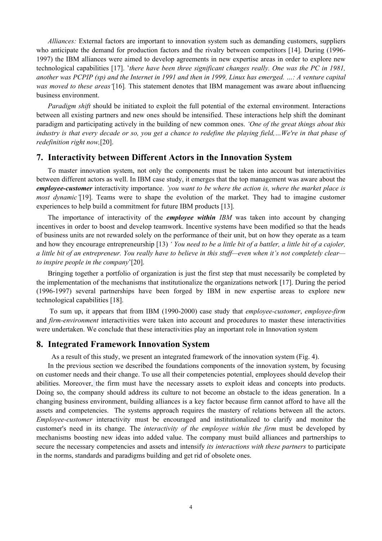*Alliances:* External factors are important to innovation system such as demanding customers, suppliers who anticipate the demand for production factors and the rivalry between competitors [14]. During (1996- 1997) the IBM alliances were aimed to develop agreements in new expertise areas in order to explore new technological capabilities [17]. '*there have been three significant changes really. One was the PC in 1981, another was PCPIP (sp) and the Internet in 1991 and then in 1999, Linux has emerged. …: A venture capital was moved to these areas'*[16]*.* This statement denotes that IBM management was aware about influencing business environment.

*Paradigm shift* should be initiated to exploit the full potential of the external environment. Interactions between all existing partners and new ones should be intensified. These interactions help shift the dominant paradigm and participating actively in the building of new common ones. *'One of the great things about this industry is that every decade or so, you get a chance to redefine the playing field,…We're in that phase of redefinition right now,*[20].

#### **7. Interactivity between Different Actors in the Innovation System**

To master innovation system, not only the components must be taken into account but interactivities between different actors as well. In IBM case study, it emerges that the top management was aware about the *employee-customer* interactivity importance. *'you want to be where the action is, where the market place is most dynamic'*[19]. Teams were to shape the evolution of the market. They had to imagine customer experiences to help build a commitment for future IBM products [13].

The importance of interactivity of the *employee within IBM* was taken into account by changing incentives in order to boost and develop teamwork. Incentive systems have been modified so that the heads of business units are not rewarded solely on the performance of their unit, but on how they operate as a team and how they encourage entrepreneurship [13) *' You need to be a little bit of a battler, a little bit of a cajoler, a little bit of an entrepreneur. You really have to believe in this stuff—even when it's not completely clear to inspire people in the company*'[20].

Bringing together a portfolio of organization is just the first step that must necessarily be completed by the implementation of the mechanisms that institutionalize the organizations network [17]. During the period (1996-1997) several partnerships have been forged by IBM in new expertise areas to explore new technological capabilities [18].

 To sum up, it appears that from IBM (1990-2000) case study that *employee-customer*, *employee-firm* and *firm-environment* interactivities were taken into account and procedures to master these interactivities were undertaken. We conclude that these interactivities play an important role in Innovation system

#### **8. Integrated Framework Innovation System**

As a result of this study, we present an integrated framework of the innovation system (Fig. 4).

In the previous section we described the foundations components of the innovation system, by focusing on customer needs and their change. To use all their competencies potential, employees should develop their abilities. Moreover, the firm must have the necessary assets to exploit ideas and concepts into products. Doing so, the company should address its culture to not become an obstacle to the ideas generation. In a changing business environment, building alliances is a key factor because firm cannot afford to have all the assets and competencies. The systems approach requires the mastery of relations between all the actors. *Employee-customer* interactivity must be encouraged and institutionalized to clarify and monitor the customer's need in its change. The *interactivity of the employee within the firm* must be developed by mechanisms boosting new ideas into added value. The company must build alliances and partnerships to secure the necessary competencies and assets and intensify *its interactions with these partners* to participate in the norms, standards and paradigms building and get rid of obsolete ones.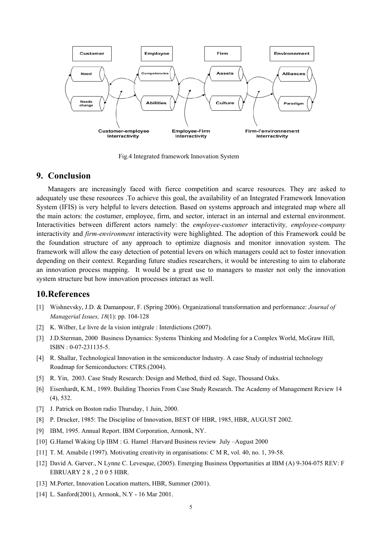

Fig.4 Integrated framework Innovation System

#### **9. Conclusion**

Managers are increasingly faced with fierce competition and scarce resources. They are asked to adequately use these resources .To achieve this goal, the availability of an Integrated Framework Innovation System (IFIS) is very helpful to levers detection. Based on systems approach and integrated map where all the main actors: the costumer, employee, firm, and sector, interact in an internal and external environment. Interactivities between different actors namely: the *employee-customer* interactivity*, employee-company* interactivity and *firm-environment* interactivity were highlighted. The adoption of this Framework could be the foundation structure of any approach to optimize diagnosis and monitor innovation system. The framework will allow the easy detection of potential levers on which managers could act to foster innovation depending on their context. Regarding future studies researchers, it would be interesting to aim to elaborate an innovation process mapping. It would be a great use to managers to master not only the innovation system structure but how innovation processes interact as well.

#### **10.References**

- [1] Wishnevsky, J.D. & Damanpour, F. (Spring 2006). Organizational transformation and performance: *Journal of Managerial Issues, 18*(1): pp. 104-128
- [2] K. Wilber, Le livre de la vision intégrale : Interdictions (2007).
- [3] J.D.Sterman, 2000 Business Dynamics: Systems Thinking and Modeling for a Complex World, McGraw Hill, ISBN : 0-07-231135-5.
- [4] R. Shallar, Technological Innovation in the semiconductor Industry. A case Study of industrial technology Roadmap for Semiconductors: CTRS.(2004).
- [5] R. Yin, 2003. Case Study Research: Design and Method, third ed. Sage, Thousand Oaks.
- [6] Eisenhardt, K.M., 1989. Building Theories From Case Study Research. The Academy of Management Review 14 (4), 532.
- [7] J. Patrick on Boston radio Thursday, 1 Juin, 2000.
- [8] P. Drucker, 1985: The Discipline of Innovation, BEST OF HBR, 1985, HBR, AUGUST 2002.
- [9] IBM, 1995. Annual Report. IBM Corporation, Armonk, NY.
- [10] G.Hamel Waking Up IBM : G. Hamel :Harvard Business review July –August 2000
- [11] T. M. Amabile (1997). Motivating creativity in organisations: C M R, vol. 40, no. 1, 39-58.
- [12] David A. Garver., N Lynne C. Levesque, (2005). Emerging Business Opportunities at IBM (A) 9-304-075 REV: F EBRUARY 2 8 , 2 0 0 5 HBR.
- [13] M.Porter, Innovation Location matters, HBR, Summer (2001).
- [14] L. Sanford(2001), Armonk, N.Y 16 Mar 2001.